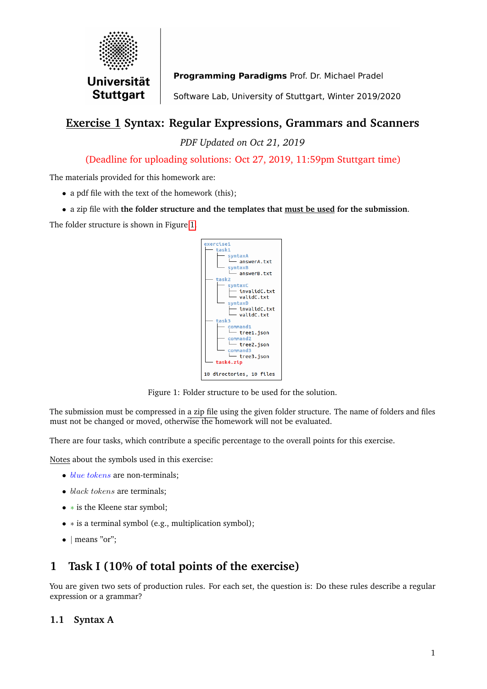

Programming Paradigms Prof. Dr. Michael Pradel

Software Lab, University of Stuttgart, Winter 2019/2020

## **Exercise 1 Syntax: Regular Expressions, Grammars and Scanners**

*PDF Updated on Oct 21, 2019*

(Deadline for uploading solutions: Oct 27, 2019, 11:59pm Stuttgart time)

The materials provided for this homework are:

- a pdf file with the text of the homework (this);
- a zip file with **the folder structure and the templates that must be used for the submission**.

The folder structure is shown in Figure [1.](#page-0-0)



<span id="page-0-0"></span>Figure 1: Folder structure to be used for the solution.

The submission must be compressed in a zip file using the given folder structure. The name of folders and files must not be changed or moved, otherwise the homework will not be evaluated.

There are four tasks, which contribute a specific percentage to the overall points for this exercise.

Notes about the symbols used in this exercise:

- $\bullet$  *blue tokens* are non-terminals;
- black tokens are terminals:
- ∗ is the Kleene star symbol;
- ∗ is a terminal symbol (e.g., multiplication symbol);
- | means "or";

# **1 Task I (10% of total points of the exercise)**

You are given two sets of production rules. For each set, the question is: Do these rules describe a regular expression or a grammar?

## **1.1 Syntax A**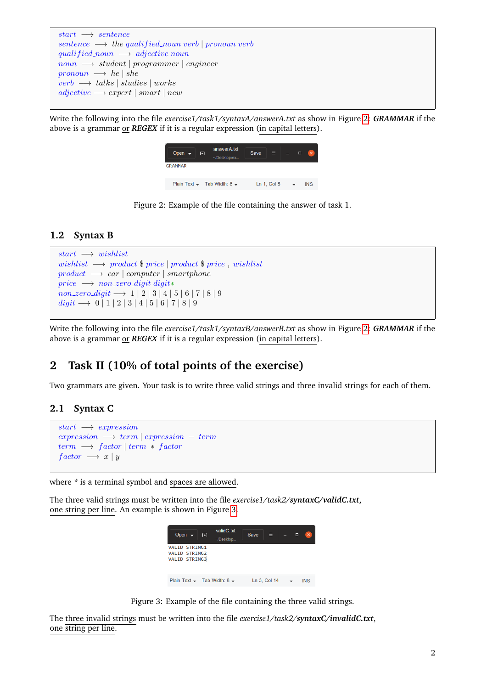```
start \rightarrow sentencesentence \rightarrow the qualified\_noun\ verb | pronoun\ verbqualified_noun \longrightarrow adjective noun
noun \rightarrow student | programmer | engineerpronoun \longrightarrow he | sheverb\ \longrightarrow talks | studies | works
adjective \longrightarrow expert \mid smart \mid new
```
Write the following into the file *exercise1/task1/syntaxA/answerA.txt* as show in Figure [2:](#page-1-0) *GRAMMAR* if the above is a grammar or *REGEX* if it is a regular expression (in capital letters).

<span id="page-1-0"></span>

| Open $\rightarrow$ | $\mathbb{F}$ | answerA.txt<br>~/Desktop/ex           | <b>Save</b> | E           | Π | $\propto$  |
|--------------------|--------------|---------------------------------------|-------------|-------------|---|------------|
| <b>GRAMMAR</b>     |              |                                       |             |             |   |            |
|                    |              | Plain Text $\sim$ Tab Width: 8 $\sim$ |             | Ln 1, Col 8 |   | <b>INS</b> |

Figure 2: Example of the file containing the answer of task 1.

### **1.2 Syntax B**

```
start \rightarrow wishlistwishlist \longrightarrow product $ price | product $ price, wishlist
product \rightarrow car \mid computer \mid smartphoneprice \longrightarrow non_zero_digit digit*non\_zero\_digit \longrightarrow 1 \mid 2 \mid 3 \mid 4 \mid 5 \mid 6 \mid 7 \mid 8 \mid 9digit \longrightarrow 0 \mid 1 \mid 2 \mid 3 \mid 4 \mid 5 \mid 6 \mid 7 \mid 8 \mid 9
```
Write the following into the file *exercise1/task1/syntaxB/answerB.txt* as show in Figure [2:](#page-1-0) *GRAMMAR* if the above is a grammar or *REGEX* if it is a regular expression (in capital letters).

# **2 Task II (10% of total points of the exercise)**

Two grammars are given. Your task is to write three valid strings and three invalid strings for each of them.

## **2.1 Syntax C**

```
start \rightarrow expressionexpression \rightarrow term \mid expression - termterm \rightarrow factor | term * factorfactor \rightarrow x | y
```
where *\** is a terminal symbol and spaces are allowed.

The three valid strings must be written into the file *exercise1/task2/syntaxC/validC.txt*, one string per line. An example is shown in Figure [3.](#page-1-1)

<span id="page-1-1"></span>

Figure 3: Example of the file containing the three valid strings.

The three invalid strings must be written into the file *exercise1/task2/syntaxC/invalidC.txt*, one string per line.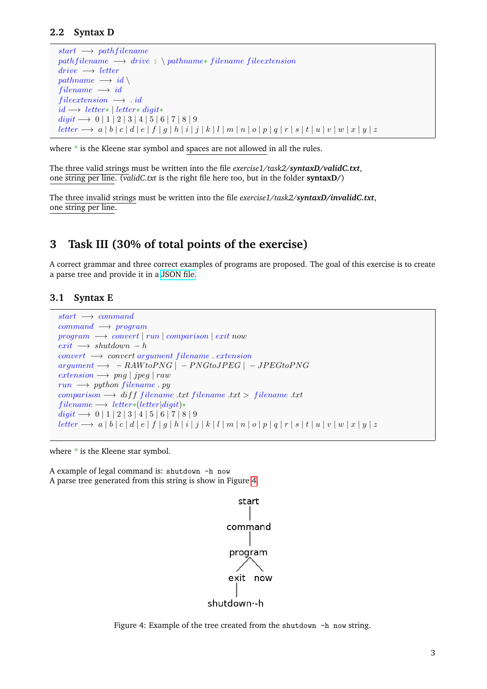#### **2.2 Syntax D**

```
start \rightarrow path filenamepath filename \longrightarrow drive : \ \pathname* filename \ fileextensiondrive \longrightarrow letterpathname \longrightarrow id \setminusfilename \longrightarrow idfile extension \longrightarrow idid → letter* | letter* digit*
digit → 0 | 1 | 2 | 3 | 4 | 5 | 6 | 7 | 8 | 9
letter → a | b | c | d | e | f | g | h | i | j | k | l | m | n | o | p | q | r | s | t | u | v | w | x | y | z
```
where  $*$  is the Kleene star symbol and spaces are not allowed in all the rules.

The three valid strings must be written into the file *exercise1/task2/syntaxD/validC.txt*, one string per line. (*validC.txt* is the right file here too, but in the folder **syntaxD/**)

The three invalid strings must be written into the file *exercise1/task2/syntaxD/invalidC.txt*, one string per line.

## **3 Task III (30% of total points of the exercise)**

A correct grammar and three correct examples of programs are proposed. The goal of this exercise is to create a parse tree and provide it in a [JSON file.](https://en.wikipedia.org/wiki/JSON)

#### **3.1 Syntax E**

```
start \rightarrow commandcommand \longrightarrow programprogram \rightarrow convert | run | comparison | exit nowexit \rightarrow shutdown - hconvert \rightarrow convert \ argument \ filename \ extensionargument \rightarrow -RAW to PNG \vert -PNG to JPEG \vert -JPEG to PNGextension \longrightarrow png | jpeg | rawrun \rightarrow python filename.pycomparison \longrightarrow diff filename.txt filename.txt > filename.txtfilename \longrightarrow letter*(letter|digit)*\text{digit} \longrightarrow 0 \mid 1 \mid 2 \mid 3 \mid 4 \mid 5 \mid 6 \mid 7 \mid 8 \mid 9letter → a | b | c | d | e | f | g | h | i | j | k | l | m | n | o | p | q | r | s | t | u | v | w | x | y | z
```
where *\** is the Kleene star symbol.

A example of legal command is: shutdown -h now A parse tree generated from this string is show in Figure [4.](#page-2-0)

<span id="page-2-0"></span>

Figure 4: Example of the tree created from the shutdown -h now string.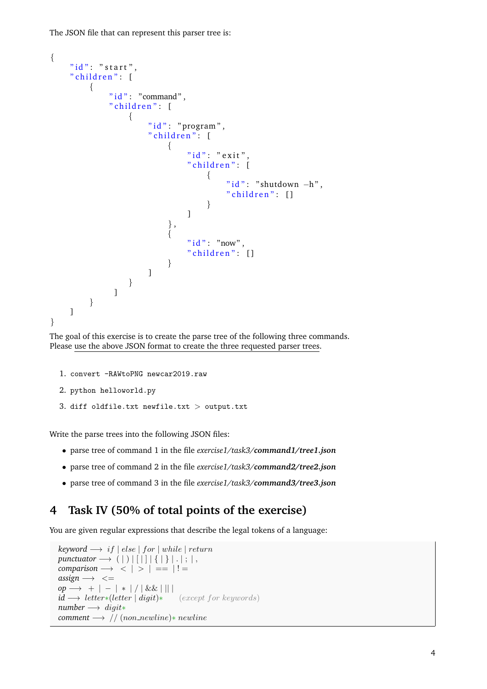The JSON file that can represent this parser tree is:

```
{
    " id": " start",
    " children": [{
              " i d " : " command".
              "children" : [{
                        "id": "program",
                        " children": [
                             {
                                  " id " : " exit "
                                  " children": [
                                       {
                                            "id": "shutdown -h".
                                            " children" : []}
                                  ]
                             } ,
                             {
                                  " id " : "now",
                                  " children": []
                             }
                        ]
                   }
               ]
         }
    ]
}
```
The goal of this exercise is to create the parse tree of the following three commands. Please use the above JSON format to create the three requested parser trees.

```
1. convert -RAWtoPNG newcar2019.raw
```

```
2. python helloworld.py
```

```
3. diff oldfile.txt newfile.txt > output.txt
```
Write the parse trees into the following JSON files:

- parse tree of command 1 in the file *exercise1/task3/command1/tree1.json*
- parse tree of command 2 in the file *exercise1/task3/command2/tree2.json*
- parse tree of command 3 in the file *exercise1/task3/command3/tree3.json*

# **4 Task IV (50% of total points of the exercise)**

You are given regular expressions that describe the legal tokens of a language:

```
keyword \longrightarrow if | else | for | while | returnpunctuator \longrightarrow (|)|[|||{|}|.|; |,
comparison \rightarrow \begin{array}{c} | \\ | \\ | \end{array} = | ! =
\text{assign} \longrightarrow \leqop → + | − | * | / | && | || |
id → letter*(letter | digit)* (except for keywords)
number → digit*
comment → // (non_newline)* newline
```